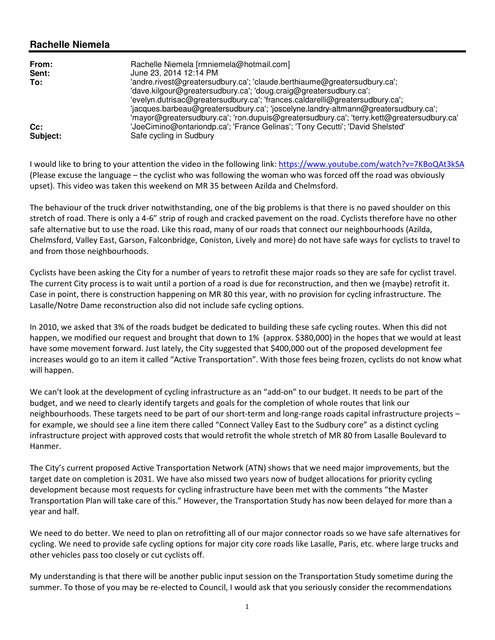## **Rachelle Niemela**

| From:<br>Sent:<br>To: | Rachelle Niemela [rmniemela@hotmail.com]<br>June 23, 2014 12:14 PM<br>'andre.rivest@greatersudbury.ca'; 'claude.berthiaume@greatersudbury.ca';<br>'dave.kilgour@greatersudbury.ca'; 'doug.craig@greatersudbury.ca';<br>'evelyn.dutrisac@greatersudbury.ca'; 'frances.caldarelli@greatersudbury.ca';<br>'jacques.barbeau@greatersudbury.ca'; 'joscelyne.landry-altmann@greatersudbury.ca';<br>'mayor@greatersudbury.ca'; 'ron.dupuis@greatersudbury.ca'; 'terry.kett@greatersudbury.ca' |
|-----------------------|----------------------------------------------------------------------------------------------------------------------------------------------------------------------------------------------------------------------------------------------------------------------------------------------------------------------------------------------------------------------------------------------------------------------------------------------------------------------------------------|
| $Cc$ :                | 'JoeCimino@ontariondp.ca'; 'France Gelinas'; 'Tony Cecutti'; 'David Shelsted'                                                                                                                                                                                                                                                                                                                                                                                                          |
| Subject:              | Safe cycling in Sudbury                                                                                                                                                                                                                                                                                                                                                                                                                                                                |

I would like to bring to your attention the video in the following link: https://www.youtube.com/watch?v=7KBoQAt3kSA (Please excuse the language – the cyclist who was following the woman who was forced off the road was obviously upset). This video was taken this weekend on MR 35 between Azilda and Chelmsford.

The behaviour of the truck driver notwithstanding, one of the big problems is that there is no paved shoulder on this stretch of road. There is only a 4-6" strip of rough and cracked pavement on the road. Cyclists therefore have no other safe alternative but to use the road. Like this road, many of our roads that connect our neighbourhoods (Azilda, Chelmsford, Valley East, Garson, Falconbridge, Coniston, Lively and more) do not have safe ways for cyclists to travel to and from those neighbourhoods.

Cyclists have been asking the City for a number of years to retrofit these major roads so they are safe for cyclist travel. The current City process is to wait until a portion of a road is due for reconstruction, and then we (maybe) retrofit it. Case in point, there is construction happening on MR 80 this year, with no provision for cycling infrastructure. The Lasalle/Notre Dame reconstruction also did not include safe cycling options.

In 2010, we asked that 3% of the roads budget be dedicated to building these safe cycling routes. When this did not happen, we modified our request and brought that down to 1% (approx. \$380,000) in the hopes that we would at least have some movement forward. Just lately, the City suggested that \$400,000 out of the proposed development fee increases would go to an item it called "Active Transportation". With those fees being frozen, cyclists do not know what will happen.

We can't look at the development of cycling infrastructure as an "add-on" to our budget. It needs to be part of the budget, and we need to clearly identify targets and goals for the completion of whole routes that link our neighbourhoods. These targets need to be part of our short-term and long-range roads capital infrastructure projects – for example, we should see a line item there called "Connect Valley East to the Sudbury core" as a distinct cycling infrastructure project with approved costs that would retrofit the whole stretch of MR 80 from Lasalle Boulevard to Hanmer.

The City's current proposed Active Transportation Network (ATN) shows that we need major improvements, but the target date on completion is 2031. We have also missed two years now of budget allocations for priority cycling development because most requests for cycling infrastructure have been met with the comments "the Master Transportation Plan will take care of this." However, the Transportation Study has now been delayed for more than a year and half.

We need to do better. We need to plan on retrofitting all of our major connector roads so we have safe alternatives for cycling. We need to provide safe cycling options for major city core roads like Lasalle, Paris, etc. where large trucks and other vehicles pass too closely or cut cyclists off.

My understanding is that there will be another public input session on the Transportation Study sometime during the summer. To those of you may be re-elected to Council, I would ask that you seriously consider the recommendations